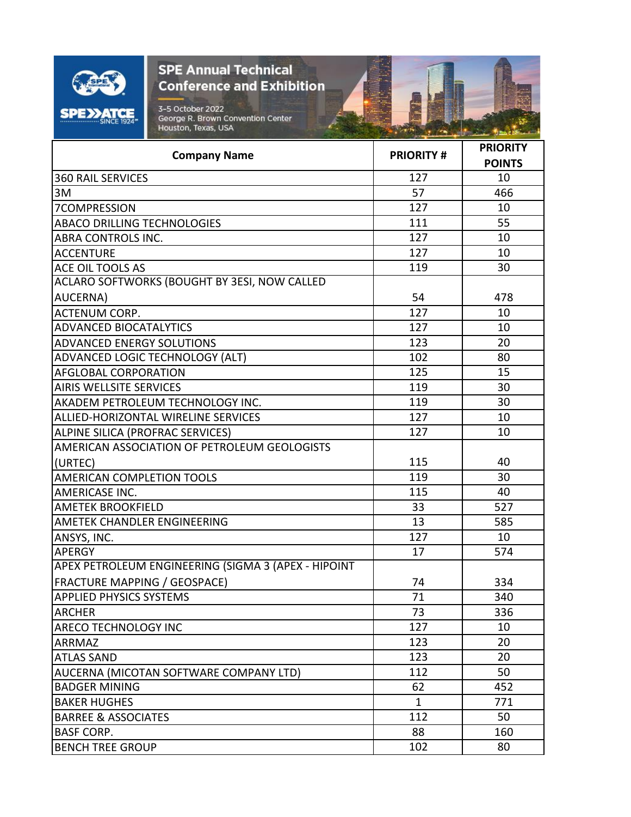|                                     | <b>SPE Annual Technical</b><br><b>Conference and Exhibition</b><br>3-5 October 2022<br>George R. Brown Convention Center<br>Houston, Texas, USA |                  |                                  |
|-------------------------------------|-------------------------------------------------------------------------------------------------------------------------------------------------|------------------|----------------------------------|
|                                     | <b>Company Name</b>                                                                                                                             | <b>PRIORITY#</b> | <b>PRIORITY</b><br><b>POINTS</b> |
| <b>360 RAIL SERVICES</b>            |                                                                                                                                                 | 127              | 10                               |
| 3M                                  |                                                                                                                                                 | 57               | 466                              |
| 7COMPRESSION                        |                                                                                                                                                 | 127              | 10                               |
| <b>ABACO DRILLING TECHNOLOGIES</b>  |                                                                                                                                                 | 111              | 55                               |
| ABRA CONTROLS INC.                  |                                                                                                                                                 | 127              | 10                               |
| <b>ACCENTURE</b>                    |                                                                                                                                                 | 127              | 10                               |
| ACE OIL TOOLS AS                    |                                                                                                                                                 | 119              | 30                               |
|                                     | ACLARO SOFTWORKS (BOUGHT BY 3ESI, NOW CALLED                                                                                                    |                  |                                  |
| AUCERNA)                            |                                                                                                                                                 | 54               | 478                              |
| <b>ACTENUM CORP.</b>                |                                                                                                                                                 | 127              | 10                               |
| <b>ADVANCED BIOCATALYTICS</b>       |                                                                                                                                                 | 127              | 10                               |
| <b>ADVANCED ENERGY SOLUTIONS</b>    |                                                                                                                                                 | 123              | 20                               |
|                                     | ADVANCED LOGIC TECHNOLOGY (ALT)                                                                                                                 | 102              | 80                               |
| <b>AFGLOBAL CORPORATION</b>         |                                                                                                                                                 | 125              | 15                               |
| <b>AIRIS WELLSITE SERVICES</b>      |                                                                                                                                                 | 119              | 30                               |
|                                     | AKADEM PETROLEUM TECHNOLOGY INC.                                                                                                                | 119              | 30                               |
|                                     | ALLIED-HORIZONTAL WIRELINE SERVICES                                                                                                             | 127              | 10                               |
| ALPINE SILICA (PROFRAC SERVICES)    |                                                                                                                                                 | 127              | 10                               |
|                                     | AMERICAN ASSOCIATION OF PETROLEUM GEOLOGISTS                                                                                                    |                  |                                  |
| (URTEC)                             |                                                                                                                                                 | 115              | 40                               |
| <b>AMERICAN COMPLETION TOOLS</b>    |                                                                                                                                                 | 119              | 30                               |
| AMERICASE INC.                      |                                                                                                                                                 | 115              | 40                               |
| <b>AMETEK BROOKFIELD</b>            |                                                                                                                                                 | 33               | 527                              |
| AMETEK CHANDLER ENGINEERING         |                                                                                                                                                 | 13               | 585                              |
| ANSYS, INC.                         |                                                                                                                                                 | 127              | 10                               |
| <b>APERGY</b>                       |                                                                                                                                                 | 17               | 574                              |
|                                     | APEX PETROLEUM ENGINEERING (SIGMA 3 (APEX - HIPOINT                                                                                             |                  |                                  |
| <b>FRACTURE MAPPING / GEOSPACE)</b> |                                                                                                                                                 | 74               | 334                              |
| <b>APPLIED PHYSICS SYSTEMS</b>      |                                                                                                                                                 | 71               | 340                              |
| <b>ARCHER</b>                       |                                                                                                                                                 | 73               | 336                              |
| ARECO TECHNOLOGY INC                |                                                                                                                                                 | 127              | 10                               |
| ARRMAZ                              |                                                                                                                                                 | 123              | 20                               |
| <b>ATLAS SAND</b>                   |                                                                                                                                                 | 123              | 20                               |
|                                     | AUCERNA (MICOTAN SOFTWARE COMPANY LTD)                                                                                                          | 112              | 50                               |
| <b>BADGER MINING</b>                |                                                                                                                                                 | 62               | 452                              |
| <b>BAKER HUGHES</b>                 |                                                                                                                                                 | $\mathbf{1}$     | 771                              |
| <b>BARREE &amp; ASSOCIATES</b>      |                                                                                                                                                 | 112              | 50                               |
| <b>BASF CORP.</b>                   |                                                                                                                                                 | 88               | 160                              |
| <b>BENCH TREE GROUP</b>             |                                                                                                                                                 | 102              | 80                               |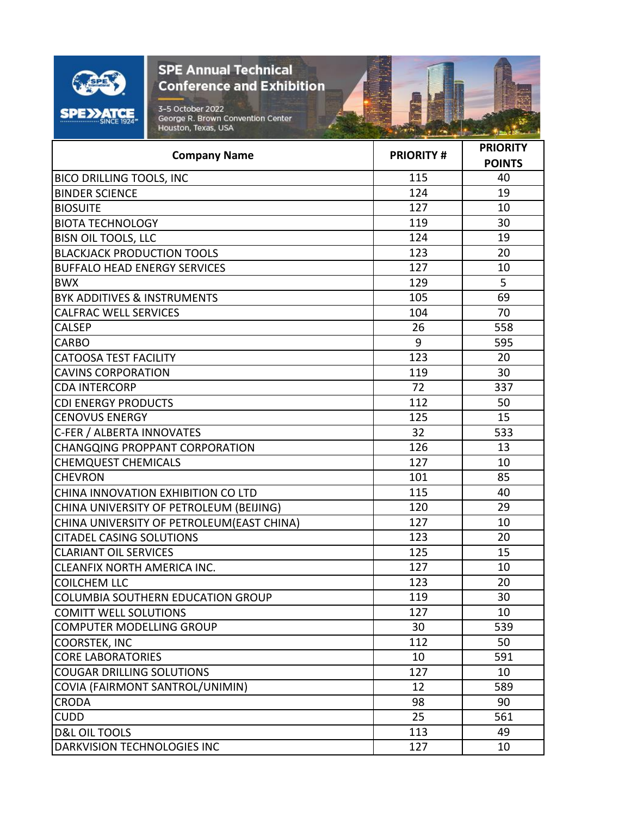

| Houston, Texas, USA                        |                  | <b>Comment of the case</b> |
|--------------------------------------------|------------------|----------------------------|
|                                            |                  | <b>PRIORITY</b>            |
| <b>Company Name</b>                        | <b>PRIORITY#</b> | <b>POINTS</b>              |
| <b>BICO DRILLING TOOLS, INC</b>            | 115              | 40                         |
| <b>BINDER SCIENCE</b>                      | 124              | 19                         |
| <b>BIOSUITE</b>                            | 127              | 10                         |
| <b>BIOTA TECHNOLOGY</b>                    | 119              | 30                         |
| <b>BISN OIL TOOLS, LLC</b>                 | 124              | 19                         |
| <b>BLACKJACK PRODUCTION TOOLS</b>          | 123              | 20                         |
| <b>BUFFALO HEAD ENERGY SERVICES</b>        | 127              | 10                         |
| <b>BWX</b>                                 | 129              | 5                          |
| <b>BYK ADDITIVES &amp; INSTRUMENTS</b>     | 105              | 69                         |
| <b>CALFRAC WELL SERVICES</b>               | 104              | 70                         |
| <b>CALSEP</b>                              | 26               | 558                        |
| <b>CARBO</b>                               | 9                | 595                        |
| <b>CATOOSA TEST FACILITY</b>               | 123              | 20                         |
| <b>CAVINS CORPORATION</b>                  | 119              | 30                         |
| <b>CDA INTERCORP</b>                       | 72               | 337                        |
| <b>CDI ENERGY PRODUCTS</b>                 | 112              | 50                         |
| <b>CENOVUS ENERGY</b>                      | 125              | 15                         |
| C-FER / ALBERTA INNOVATES                  | 32               | 533                        |
| <b>CHANGQING PROPPANT CORPORATION</b>      | 126              | 13                         |
| <b>CHEMQUEST CHEMICALS</b>                 | 127              | 10                         |
| <b>CHEVRON</b>                             | 101              | 85                         |
| CHINA INNOVATION EXHIBITION CO LTD         | 115              | 40                         |
| CHINA UNIVERSITY OF PETROLEUM (BEIJING)    | 120              | 29                         |
| CHINA UNIVERSITY OF PETROLEUM (EAST CHINA) | 127              | 10                         |
| <b>CITADEL CASING SOLUTIONS</b>            | 123              | 20                         |
| <b>CLARIANT OIL SERVICES</b>               | 125              | 15                         |
| CLEANFIX NORTH AMERICA INC.                | 127              | 10                         |
| <b>COILCHEM LLC</b>                        | 123              | 20                         |
| COLUMBIA SOUTHERN EDUCATION GROUP          | 119              | 30                         |
| <b>COMITT WELL SOLUTIONS</b>               | 127              | 10                         |
| <b>COMPUTER MODELLING GROUP</b>            | 30               | 539                        |
| COORSTEK, INC                              | 112              | 50                         |
| <b>CORE LABORATORIES</b>                   | 10               | 591                        |
| <b>COUGAR DRILLING SOLUTIONS</b>           | 127              | 10                         |
| COVIA (FAIRMONT SANTROL/UNIMIN)            | 12               | 589                        |
| <b>CRODA</b>                               | 98               | 90                         |
| <b>CUDD</b>                                | 25               | 561                        |
| <b>D&amp;L OIL TOOLS</b>                   | 113              | 49                         |
| DARKVISION TECHNOLOGIES INC                | 127              | 10                         |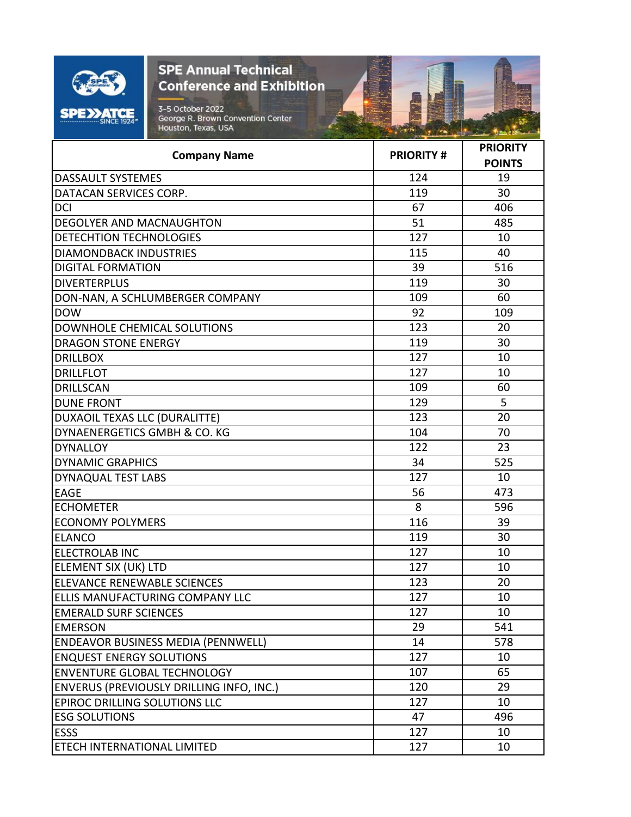| O<br>Ξ.<br>įж<br><b>SINCE 1924</b> |
|------------------------------------|

看

| <b>Company Name</b>                             | <b>PRIORITY#</b> | <b>PRIORITY</b> |
|-------------------------------------------------|------------------|-----------------|
|                                                 |                  | <b>POINTS</b>   |
| <b>DASSAULT SYSTEMES</b>                        | 124              | 19              |
| DATACAN SERVICES CORP.                          | 119              | 30              |
| <b>DCI</b>                                      | 67               | 406             |
| <b>DEGOLYER AND MACNAUGHTON</b>                 | 51               | 485             |
| <b>DETECHTION TECHNOLOGIES</b>                  | 127              | 10              |
| <b>DIAMONDBACK INDUSTRIES</b>                   | 115              | 40              |
| <b>DIGITAL FORMATION</b>                        | 39               | 516             |
| <b>DIVERTERPLUS</b>                             | 119              | 30              |
| DON-NAN, A SCHLUMBERGER COMPANY                 | 109              | 60              |
| <b>DOW</b>                                      | 92               | 109             |
| DOWNHOLE CHEMICAL SOLUTIONS                     | 123              | 20              |
| <b>DRAGON STONE ENERGY</b>                      | 119              | 30              |
| <b>DRILLBOX</b>                                 | 127              | 10              |
| <b>DRILLFLOT</b>                                | 127              | 10              |
| <b>DRILLSCAN</b>                                | 109              | 60              |
| <b>DUNE FRONT</b>                               | 129              | 5               |
| DUXAOIL TEXAS LLC (DURALITTE)                   | 123              | 20              |
| DYNAENERGETICS GMBH & CO. KG                    | 104              | 70              |
| <b>DYNALLOY</b>                                 | 122              | 23              |
| <b>DYNAMIC GRAPHICS</b>                         | 34               | 525             |
| DYNAQUAL TEST LABS                              | 127              | 10              |
| <b>EAGE</b>                                     | 56               | 473             |
| <b>ECHOMETER</b>                                | 8                | 596             |
| <b>ECONOMY POLYMERS</b>                         | 116              | 39              |
| <b>ELANCO</b>                                   | 119              | 30              |
| <b>ELECTROLAB INC</b>                           | 127              | 10              |
| ELEMENT SIX (UK) LTD                            | 127              | 10              |
| ELEVANCE RENEWABLE SCIENCES                     | 123              | 20              |
| ELLIS MANUFACTURING COMPANY LLC                 | 127              | 10              |
| <b>EMERALD SURF SCIENCES</b>                    | 127              | 10              |
| <b>EMERSON</b>                                  | 29               | 541             |
| <b>ENDEAVOR BUSINESS MEDIA (PENNWELL)</b>       | 14               | 578             |
| <b>ENQUEST ENERGY SOLUTIONS</b>                 | 127              | 10              |
| <b>ENVENTURE GLOBAL TECHNOLOGY</b>              | 107              | 65              |
| <b>ENVERUS (PREVIOUSLY DRILLING INFO, INC.)</b> | 120              | 29              |
| EPIROC DRILLING SOLUTIONS LLC                   | 127              | 10              |
| <b>ESG SOLUTIONS</b>                            | 47               | 496             |
| <b>ESSS</b>                                     | 127              | 10              |
| <b>ETECH INTERNATIONAL LIMITED</b>              | 127              | 10              |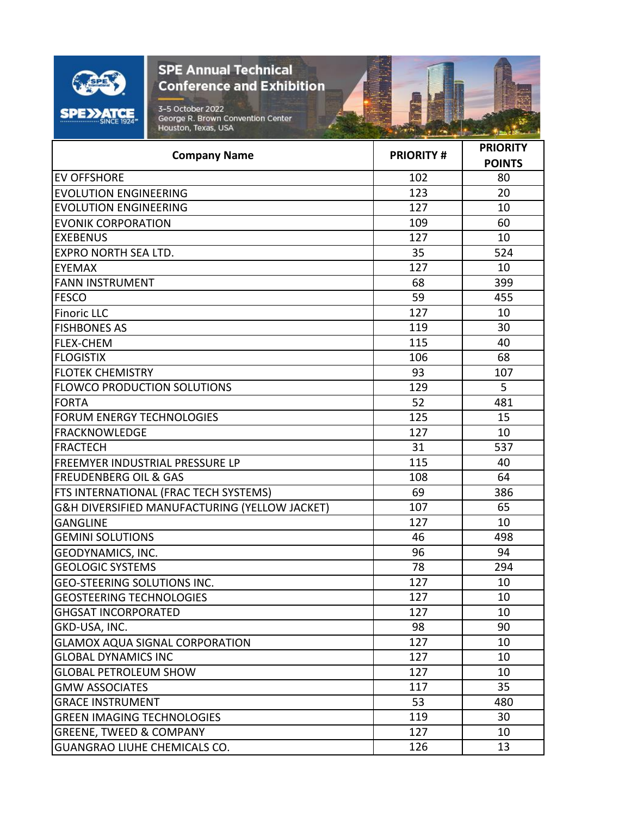

看

| <b>Company Name</b>                           | <b>PRIORITY#</b> | <b>PRIORITY</b> |
|-----------------------------------------------|------------------|-----------------|
|                                               |                  | <b>POINTS</b>   |
| <b>EV OFFSHORE</b>                            | 102              | 80              |
| <b>EVOLUTION ENGINEERING</b>                  | 123              | 20              |
| <b>EVOLUTION ENGINEERING</b>                  | 127              | 10              |
| <b>EVONIK CORPORATION</b>                     | 109              | 60              |
| <b>EXEBENUS</b>                               | 127              | 10              |
| <b>EXPRO NORTH SEA LTD.</b>                   | 35               | 524             |
| <b>EYEMAX</b>                                 | 127              | 10              |
| <b>FANN INSTRUMENT</b>                        | 68               | 399             |
| <b>FESCO</b>                                  | 59               | 455             |
| <b>Finoric LLC</b>                            | 127              | 10              |
| <b>FISHBONES AS</b>                           | 119              | 30              |
| <b>FLEX-CHEM</b>                              | 115              | 40              |
| <b>FLOGISTIX</b>                              | 106              | 68              |
| <b>FLOTEK CHEMISTRY</b>                       | 93               | 107             |
| <b>FLOWCO PRODUCTION SOLUTIONS</b>            | 129              | 5               |
| <b>FORTA</b>                                  | 52               | 481             |
| <b>FORUM ENERGY TECHNOLOGIES</b>              | 125              | 15              |
| <b>FRACKNOWLEDGE</b>                          | 127              | 10              |
| <b>FRACTECH</b>                               | 31               | 537             |
| <b>FREEMYER INDUSTRIAL PRESSURE LP</b>        | 115              | 40              |
| <b>FREUDENBERG OIL &amp; GAS</b>              | 108              | 64              |
| FTS INTERNATIONAL (FRAC TECH SYSTEMS)         | 69               | 386             |
| G&H DIVERSIFIED MANUFACTURING (YELLOW JACKET) | 107              | 65              |
| <b>GANGLINE</b>                               | 127              | 10              |
| <b>GEMINI SOLUTIONS</b>                       | 46               | 498             |
| GEODYNAMICS, INC.                             | 96               | 94              |
| <b>GEOLOGIC SYSTEMS</b>                       | 78               | 294             |
| <b>GEO-STEERING SOLUTIONS INC.</b>            | 127              | 10              |
| <b>GEOSTEERING TECHNOLOGIES</b>               | 127              | 10              |
| <b>GHGSAT INCORPORATED</b>                    | 127              | 10              |
| GKD-USA, INC.                                 | 98               | 90              |
| <b>GLAMOX AQUA SIGNAL CORPORATION</b>         | 127              | 10              |
| <b>GLOBAL DYNAMICS INC</b>                    | 127              | 10              |
| <b>GLOBAL PETROLEUM SHOW</b>                  | 127              | 10              |
| <b>GMW ASSOCIATES</b>                         | 117              | 35              |
| <b>GRACE INSTRUMENT</b>                       | 53               | 480             |
| <b>GREEN IMAGING TECHNOLOGIES</b>             | 119              | 30              |
| <b>GREENE, TWEED &amp; COMPANY</b>            | 127              | 10              |
| GUANGRAO LIUHE CHEMICALS CO.                  | 126              | 13              |
|                                               |                  |                 |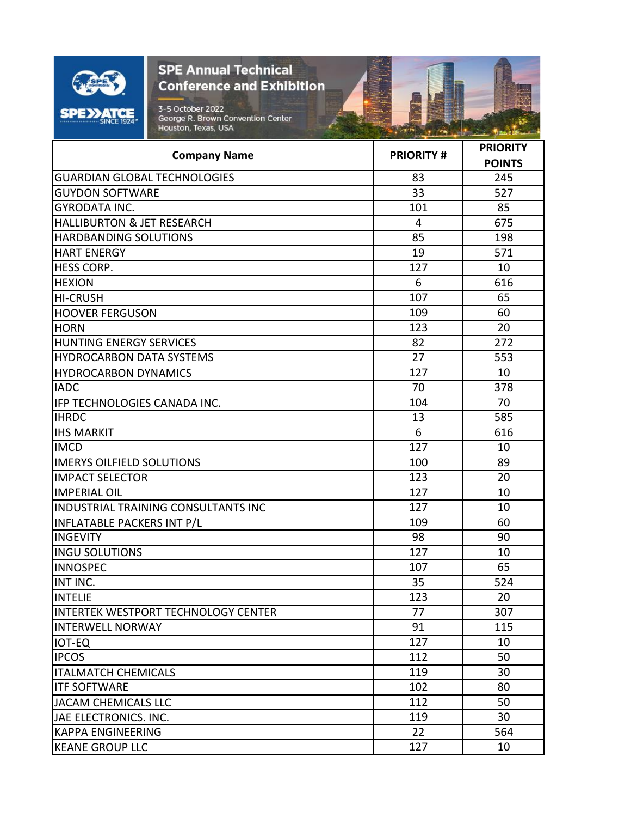

**Committee of the Party** 

SV 2-1

الأناسبة

| <b>POINTS</b><br>83<br>245<br>33<br>527<br>101<br>85<br>4<br>675<br>85<br>198<br>571<br>19<br>127<br>10<br>6<br>616<br>107<br>65<br>60<br>109<br>123<br>20<br>272<br>82<br>27<br>553<br>127<br>10<br>70<br>378<br>70<br>104<br>585<br>13<br>6<br>616<br>127<br>10<br>89<br>100<br>123<br>20<br>127<br>10<br>127<br>10<br>60<br>109<br>98<br>90<br>10<br>127<br>65<br>107<br>35<br>524<br>123<br>20<br>307<br>77<br>91<br>115<br>127<br>10<br>112<br>50<br>119<br>30<br>102<br>80<br>112<br>50<br>119<br>30<br>22<br>564<br>127<br>10 | <b>Company Name</b>                        | <b>PRIORITY#</b> | <b>PRIORITY</b> |
|--------------------------------------------------------------------------------------------------------------------------------------------------------------------------------------------------------------------------------------------------------------------------------------------------------------------------------------------------------------------------------------------------------------------------------------------------------------------------------------------------------------------------------------|--------------------------------------------|------------------|-----------------|
|                                                                                                                                                                                                                                                                                                                                                                                                                                                                                                                                      |                                            |                  |                 |
|                                                                                                                                                                                                                                                                                                                                                                                                                                                                                                                                      | <b>GUARDIAN GLOBAL TECHNOLOGIES</b>        |                  |                 |
|                                                                                                                                                                                                                                                                                                                                                                                                                                                                                                                                      | <b>GUYDON SOFTWARE</b>                     |                  |                 |
|                                                                                                                                                                                                                                                                                                                                                                                                                                                                                                                                      | <b>GYRODATA INC.</b>                       |                  |                 |
|                                                                                                                                                                                                                                                                                                                                                                                                                                                                                                                                      | <b>HALLIBURTON &amp; JET RESEARCH</b>      |                  |                 |
|                                                                                                                                                                                                                                                                                                                                                                                                                                                                                                                                      | <b>HARDBANDING SOLUTIONS</b>               |                  |                 |
|                                                                                                                                                                                                                                                                                                                                                                                                                                                                                                                                      | <b>HART ENERGY</b>                         |                  |                 |
|                                                                                                                                                                                                                                                                                                                                                                                                                                                                                                                                      | <b>HESS CORP.</b>                          |                  |                 |
|                                                                                                                                                                                                                                                                                                                                                                                                                                                                                                                                      | <b>HEXION</b>                              |                  |                 |
|                                                                                                                                                                                                                                                                                                                                                                                                                                                                                                                                      | <b>HI-CRUSH</b>                            |                  |                 |
|                                                                                                                                                                                                                                                                                                                                                                                                                                                                                                                                      | <b>HOOVER FERGUSON</b>                     |                  |                 |
|                                                                                                                                                                                                                                                                                                                                                                                                                                                                                                                                      | <b>HORN</b>                                |                  |                 |
|                                                                                                                                                                                                                                                                                                                                                                                                                                                                                                                                      | HUNTING ENERGY SERVICES                    |                  |                 |
|                                                                                                                                                                                                                                                                                                                                                                                                                                                                                                                                      | <b>HYDROCARBON DATA SYSTEMS</b>            |                  |                 |
|                                                                                                                                                                                                                                                                                                                                                                                                                                                                                                                                      | <b>HYDROCARBON DYNAMICS</b>                |                  |                 |
|                                                                                                                                                                                                                                                                                                                                                                                                                                                                                                                                      | <b>IADC</b>                                |                  |                 |
|                                                                                                                                                                                                                                                                                                                                                                                                                                                                                                                                      | <b>IFP TECHNOLOGIES CANADA INC.</b>        |                  |                 |
|                                                                                                                                                                                                                                                                                                                                                                                                                                                                                                                                      | <b>IHRDC</b>                               |                  |                 |
|                                                                                                                                                                                                                                                                                                                                                                                                                                                                                                                                      | <b>IHS MARKIT</b>                          |                  |                 |
|                                                                                                                                                                                                                                                                                                                                                                                                                                                                                                                                      | <b>IMCD</b>                                |                  |                 |
|                                                                                                                                                                                                                                                                                                                                                                                                                                                                                                                                      | <b>IMERYS OILFIELD SOLUTIONS</b>           |                  |                 |
|                                                                                                                                                                                                                                                                                                                                                                                                                                                                                                                                      | <b>IMPACT SELECTOR</b>                     |                  |                 |
|                                                                                                                                                                                                                                                                                                                                                                                                                                                                                                                                      | <b>IMPERIAL OIL</b>                        |                  |                 |
|                                                                                                                                                                                                                                                                                                                                                                                                                                                                                                                                      | <b>INDUSTRIAL TRAINING CONSULTANTS INC</b> |                  |                 |
|                                                                                                                                                                                                                                                                                                                                                                                                                                                                                                                                      | <b>INFLATABLE PACKERS INT P/L</b>          |                  |                 |
|                                                                                                                                                                                                                                                                                                                                                                                                                                                                                                                                      | <b>INGEVITY</b>                            |                  |                 |
|                                                                                                                                                                                                                                                                                                                                                                                                                                                                                                                                      | <b>INGU SOLUTIONS</b>                      |                  |                 |
|                                                                                                                                                                                                                                                                                                                                                                                                                                                                                                                                      | <b>INNOSPEC</b>                            |                  |                 |
|                                                                                                                                                                                                                                                                                                                                                                                                                                                                                                                                      | INT INC.                                   |                  |                 |
|                                                                                                                                                                                                                                                                                                                                                                                                                                                                                                                                      | <b>INTELIE</b>                             |                  |                 |
|                                                                                                                                                                                                                                                                                                                                                                                                                                                                                                                                      | INTERTEK WESTPORT TECHNOLOGY CENTER        |                  |                 |
|                                                                                                                                                                                                                                                                                                                                                                                                                                                                                                                                      | <b>INTERWELL NORWAY</b>                    |                  |                 |
|                                                                                                                                                                                                                                                                                                                                                                                                                                                                                                                                      | <b>IOT-EQ</b>                              |                  |                 |
|                                                                                                                                                                                                                                                                                                                                                                                                                                                                                                                                      | <b>IPCOS</b>                               |                  |                 |
|                                                                                                                                                                                                                                                                                                                                                                                                                                                                                                                                      | <b>ITALMATCH CHEMICALS</b>                 |                  |                 |
|                                                                                                                                                                                                                                                                                                                                                                                                                                                                                                                                      | <b>ITF SOFTWARE</b>                        |                  |                 |
|                                                                                                                                                                                                                                                                                                                                                                                                                                                                                                                                      | JACAM CHEMICALS LLC                        |                  |                 |
|                                                                                                                                                                                                                                                                                                                                                                                                                                                                                                                                      | JAE ELECTRONICS. INC.                      |                  |                 |
|                                                                                                                                                                                                                                                                                                                                                                                                                                                                                                                                      | <b>KAPPA ENGINEERING</b>                   |                  |                 |
|                                                                                                                                                                                                                                                                                                                                                                                                                                                                                                                                      | <b>KEANE GROUP LLC</b>                     |                  |                 |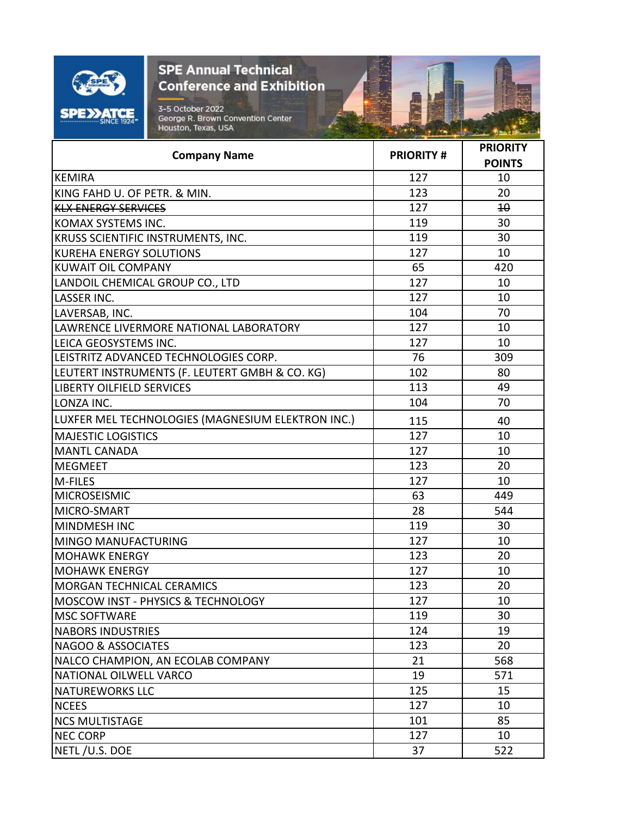

看

| <b>POINTS</b><br><b>KEMIRA</b><br>127<br>10<br>123<br>20<br>KING FAHD U. OF PETR. & MIN.<br>127<br>$\overline{40}$<br><b>KLX ENERGY SERVICES</b><br>119<br>30<br>KOMAX SYSTEMS INC.<br>30<br>KRUSS SCIENTIFIC INSTRUMENTS, INC.<br>119<br>127<br>10<br><b>KUREHA ENERGY SOLUTIONS</b><br><b>KUWAIT OIL COMPANY</b><br>65<br>420<br>LANDOIL CHEMICAL GROUP CO., LTD<br>127<br>10<br><b>LASSER INC.</b><br>127<br>10 |
|--------------------------------------------------------------------------------------------------------------------------------------------------------------------------------------------------------------------------------------------------------------------------------------------------------------------------------------------------------------------------------------------------------------------|
|                                                                                                                                                                                                                                                                                                                                                                                                                    |
|                                                                                                                                                                                                                                                                                                                                                                                                                    |
|                                                                                                                                                                                                                                                                                                                                                                                                                    |
|                                                                                                                                                                                                                                                                                                                                                                                                                    |
|                                                                                                                                                                                                                                                                                                                                                                                                                    |
|                                                                                                                                                                                                                                                                                                                                                                                                                    |
|                                                                                                                                                                                                                                                                                                                                                                                                                    |
|                                                                                                                                                                                                                                                                                                                                                                                                                    |
|                                                                                                                                                                                                                                                                                                                                                                                                                    |
|                                                                                                                                                                                                                                                                                                                                                                                                                    |
| 70<br>104<br>LAVERSAB, INC.                                                                                                                                                                                                                                                                                                                                                                                        |
| 127<br>LAWRENCE LIVERMORE NATIONAL LABORATORY<br>10                                                                                                                                                                                                                                                                                                                                                                |
| 10<br>LEICA GEOSYSTEMS INC.<br>127                                                                                                                                                                                                                                                                                                                                                                                 |
| LEISTRITZ ADVANCED TECHNOLOGIES CORP.<br>76<br>309                                                                                                                                                                                                                                                                                                                                                                 |
| LEUTERT INSTRUMENTS (F. LEUTERT GMBH & CO. KG)<br>102<br>80                                                                                                                                                                                                                                                                                                                                                        |
| 113<br><b>LIBERTY OILFIELD SERVICES</b><br>49                                                                                                                                                                                                                                                                                                                                                                      |
| 104<br>70<br>LONZA INC.                                                                                                                                                                                                                                                                                                                                                                                            |
| LUXFER MEL TECHNOLOGIES (MAGNESIUM ELEKTRON INC.)<br>115<br>40                                                                                                                                                                                                                                                                                                                                                     |
| 127<br><b>MAJESTIC LOGISTICS</b><br>10                                                                                                                                                                                                                                                                                                                                                                             |
| <b>MANTL CANADA</b><br>127<br>10                                                                                                                                                                                                                                                                                                                                                                                   |
| 20<br>123<br><b>MEGMEET</b>                                                                                                                                                                                                                                                                                                                                                                                        |
| 127<br>10<br>M-FILES                                                                                                                                                                                                                                                                                                                                                                                               |
| <b>MICROSEISMIC</b><br>63<br>449                                                                                                                                                                                                                                                                                                                                                                                   |
| MICRO-SMART<br>28<br>544                                                                                                                                                                                                                                                                                                                                                                                           |
| 119<br>30<br><b>MINDMESH INC</b>                                                                                                                                                                                                                                                                                                                                                                                   |
| 127<br>10<br>MINGO MANUFACTURING                                                                                                                                                                                                                                                                                                                                                                                   |
| 123<br>20<br><b>MOHAWK ENERGY</b>                                                                                                                                                                                                                                                                                                                                                                                  |
| 127<br>10<br><b>MOHAWK ENERGY</b>                                                                                                                                                                                                                                                                                                                                                                                  |
| 123<br>20<br><b>MORGAN TECHNICAL CERAMICS</b>                                                                                                                                                                                                                                                                                                                                                                      |
| MOSCOW INST - PHYSICS & TECHNOLOGY<br>127<br>10                                                                                                                                                                                                                                                                                                                                                                    |
| 119<br><b>MSC SOFTWARE</b><br>30                                                                                                                                                                                                                                                                                                                                                                                   |
| 124<br>19<br><b>NABORS INDUSTRIES</b>                                                                                                                                                                                                                                                                                                                                                                              |
| 123<br>20<br><b>NAGOO &amp; ASSOCIATES</b>                                                                                                                                                                                                                                                                                                                                                                         |
| NALCO CHAMPION, AN ECOLAB COMPANY<br>21<br>568                                                                                                                                                                                                                                                                                                                                                                     |
| NATIONAL OILWELL VARCO<br>19<br>571                                                                                                                                                                                                                                                                                                                                                                                |
| 125<br>15<br><b>NATUREWORKS LLC</b>                                                                                                                                                                                                                                                                                                                                                                                |
| 127<br><b>NCEES</b><br>10                                                                                                                                                                                                                                                                                                                                                                                          |
| 85<br><b>NCS MULTISTAGE</b><br>101                                                                                                                                                                                                                                                                                                                                                                                 |
| 127<br><b>NEC CORP</b><br>10                                                                                                                                                                                                                                                                                                                                                                                       |
| NETL/U.S. DOE<br>522<br>37                                                                                                                                                                                                                                                                                                                                                                                         |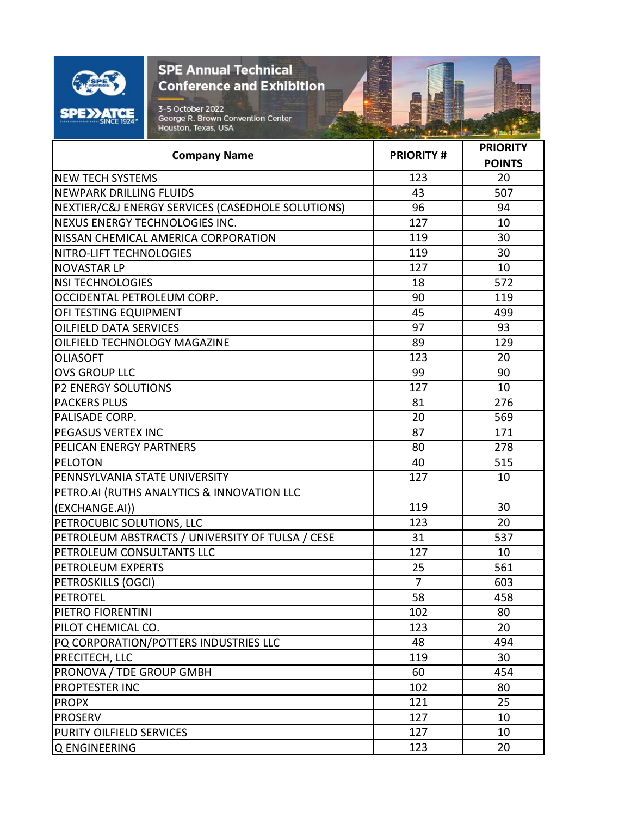

**Committee of the Party** 

| <b>Company Name</b>                               | <b>PRIORITY#</b> | <b>PRIORITY</b><br><b>POINTS</b> |
|---------------------------------------------------|------------------|----------------------------------|
| <b>NEW TECH SYSTEMS</b>                           | 123              | 20                               |
| <b>NEWPARK DRILLING FLUIDS</b>                    | 43               | 507                              |
| NEXTIER/C&J ENERGY SERVICES (CASEDHOLE SOLUTIONS) | 96               | 94                               |
| NEXUS ENERGY TECHNOLOGIES INC.                    | 127              | 10                               |
| NISSAN CHEMICAL AMERICA CORPORATION               | 119              | 30                               |
| NITRO-LIFT TECHNOLOGIES                           | 119              | 30                               |
| <b>NOVASTAR LP</b>                                | 127              | 10                               |
| <b>NSI TECHNOLOGIES</b>                           | 18               | 572                              |
| OCCIDENTAL PETROLEUM CORP.                        | 90               | 119                              |
| OFI TESTING EQUIPMENT                             | 45               | 499                              |
| <b>OILFIELD DATA SERVICES</b>                     | 97               | 93                               |
| OILFIELD TECHNOLOGY MAGAZINE                      | 89               | 129                              |
| <b>OLIASOFT</b>                                   | 123              | 20                               |
| <b>OVS GROUP LLC</b>                              | 99               | 90                               |
| <b>P2 ENERGY SOLUTIONS</b>                        | 127              | 10                               |
| <b>PACKERS PLUS</b>                               | 81               | 276                              |
| PALISADE CORP.                                    | 20               | 569                              |
| <b>PEGASUS VERTEX INC</b>                         | 87               | 171                              |
| PELICAN ENERGY PARTNERS                           | 80               | 278                              |
| <b>PELOTON</b>                                    | 40               | 515                              |
| PENNSYLVANIA STATE UNIVERSITY                     | 127              | 10                               |
| PETRO.AI (RUTHS ANALYTICS & INNOVATION LLC        |                  |                                  |
| (EXCHANGE.AI))                                    | 119              | 30                               |
| PETROCUBIC SOLUTIONS, LLC                         | 123              | 20                               |
| PETROLEUM ABSTRACTS / UNIVERSITY OF TULSA / CESE  | 31               | 537                              |
| PETROLEUM CONSULTANTS LLC                         | 127              | 10                               |
| PETROLEUM EXPERTS                                 | 25               | 561                              |
| PETROSKILLS (OGCI)                                | $\overline{7}$   | 603                              |
| <b>PETROTEL</b>                                   | 58               | 458                              |
| PIETRO FIORENTINI                                 | 102              | 80                               |
| PILOT CHEMICAL CO.                                | 123              | 20                               |
| PQ CORPORATION/POTTERS INDUSTRIES LLC             | 48               | 494                              |
| <b>PRECITECH, LLC</b>                             | 119              | 30                               |
| PRONOVA / TDE GROUP GMBH                          | 60               | 454                              |
| <b>PROPTESTER INC</b>                             | 102              | 80                               |
| <b>PROPX</b>                                      | 121              | 25                               |
| <b>PROSERV</b>                                    | 127              | 10                               |
| PURITY OILFIELD SERVICES                          | 127              | 10                               |
| Q ENGINEERING                                     | 123              | 20                               |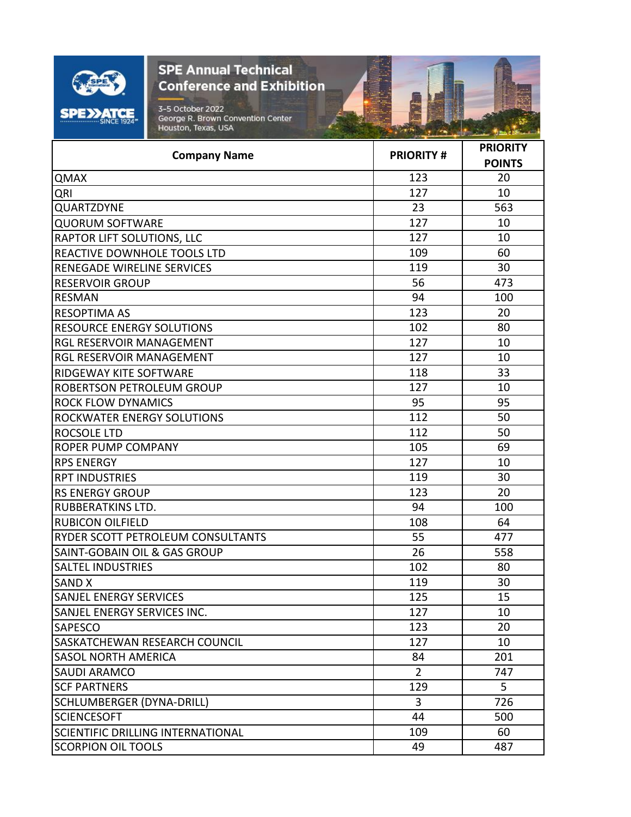| $\rightarrow$<br>-- SINCE 1924* |  |
|---------------------------------|--|

| 123<br><b>QMAX</b><br>20<br>127<br>10<br>QRI<br>QUARTZDYNE<br>23<br>563<br>127<br><b>QUORUM SOFTWARE</b><br>10<br>127<br>10<br>RAPTOR LIFT SOLUTIONS, LLC<br>109<br>60<br>REACTIVE DOWNHOLE TOOLS LTD<br>119<br>30<br>RENEGADE WIRELINE SERVICES<br>56<br>473<br><b>RESERVOIR GROUP</b><br>94<br><b>RESMAN</b><br>100<br>123<br>20<br><b>RESOPTIMA AS</b><br>102<br>80<br><b>RESOURCE ENERGY SOLUTIONS</b><br>RGL RESERVOIR MANAGEMENT<br>127<br>10<br>RGL RESERVOIR MANAGEMENT<br>127<br>10<br>33<br>118<br>RIDGEWAY KITE SOFTWARE<br>127<br>10<br>ROBERTSON PETROLEUM GROUP<br>95<br><b>ROCK FLOW DYNAMICS</b><br>95<br>112<br>50<br>ROCKWATER ENERGY SOLUTIONS<br>112<br>50<br><b>ROCSOLE LTD</b><br><b>ROPER PUMP COMPANY</b><br>105<br>69<br><b>RPS ENERGY</b><br>127<br>10<br>119<br>30<br><b>RPT INDUSTRIES</b><br>123<br><b>RS ENERGY GROUP</b><br>20<br>94<br><b>RUBBERATKINS LTD.</b><br>100<br><b>RUBICON OILFIELD</b><br>108<br>64<br>55<br>RYDER SCOTT PETROLEUM CONSULTANTS<br>477<br>SAINT-GOBAIN OIL & GAS GROUP<br>26<br>558<br><b>SALTEL INDUSTRIES</b><br>102<br>80<br>119<br>30<br><b>SAND X</b><br>125<br><b>SANJEL ENERGY SERVICES</b><br>15<br>SANJEL ENERGY SERVICES INC.<br>127<br>10<br>123<br>20<br><b>SAPESCO</b><br>SASKATCHEWAN RESEARCH COUNCIL<br>127<br>10<br><b>SASOL NORTH AMERICA</b><br>84<br>201<br>$\overline{2}$<br>SAUDI ARAMCO<br>747<br>129<br>5<br><b>SCF PARTNERS</b><br><b>SCHLUMBERGER (DYNA-DRILL)</b><br>$\overline{3}$<br>726<br><b>SCIENCESOFT</b><br>44<br>500<br>SCIENTIFIC DRILLING INTERNATIONAL<br>109<br>60<br><b>SCORPION OIL TOOLS</b><br>49<br>487 | <b>Company Name</b> | <b>PRIORITY#</b> | <b>PRIORITY</b><br><b>POINTS</b> |
|----------------------------------------------------------------------------------------------------------------------------------------------------------------------------------------------------------------------------------------------------------------------------------------------------------------------------------------------------------------------------------------------------------------------------------------------------------------------------------------------------------------------------------------------------------------------------------------------------------------------------------------------------------------------------------------------------------------------------------------------------------------------------------------------------------------------------------------------------------------------------------------------------------------------------------------------------------------------------------------------------------------------------------------------------------------------------------------------------------------------------------------------------------------------------------------------------------------------------------------------------------------------------------------------------------------------------------------------------------------------------------------------------------------------------------------------------------------------------------------------------------------------------------------------------------------------------------------------------------------|---------------------|------------------|----------------------------------|
|                                                                                                                                                                                                                                                                                                                                                                                                                                                                                                                                                                                                                                                                                                                                                                                                                                                                                                                                                                                                                                                                                                                                                                                                                                                                                                                                                                                                                                                                                                                                                                                                                |                     |                  |                                  |
|                                                                                                                                                                                                                                                                                                                                                                                                                                                                                                                                                                                                                                                                                                                                                                                                                                                                                                                                                                                                                                                                                                                                                                                                                                                                                                                                                                                                                                                                                                                                                                                                                |                     |                  |                                  |
|                                                                                                                                                                                                                                                                                                                                                                                                                                                                                                                                                                                                                                                                                                                                                                                                                                                                                                                                                                                                                                                                                                                                                                                                                                                                                                                                                                                                                                                                                                                                                                                                                |                     |                  |                                  |
|                                                                                                                                                                                                                                                                                                                                                                                                                                                                                                                                                                                                                                                                                                                                                                                                                                                                                                                                                                                                                                                                                                                                                                                                                                                                                                                                                                                                                                                                                                                                                                                                                |                     |                  |                                  |
|                                                                                                                                                                                                                                                                                                                                                                                                                                                                                                                                                                                                                                                                                                                                                                                                                                                                                                                                                                                                                                                                                                                                                                                                                                                                                                                                                                                                                                                                                                                                                                                                                |                     |                  |                                  |
|                                                                                                                                                                                                                                                                                                                                                                                                                                                                                                                                                                                                                                                                                                                                                                                                                                                                                                                                                                                                                                                                                                                                                                                                                                                                                                                                                                                                                                                                                                                                                                                                                |                     |                  |                                  |
|                                                                                                                                                                                                                                                                                                                                                                                                                                                                                                                                                                                                                                                                                                                                                                                                                                                                                                                                                                                                                                                                                                                                                                                                                                                                                                                                                                                                                                                                                                                                                                                                                |                     |                  |                                  |
|                                                                                                                                                                                                                                                                                                                                                                                                                                                                                                                                                                                                                                                                                                                                                                                                                                                                                                                                                                                                                                                                                                                                                                                                                                                                                                                                                                                                                                                                                                                                                                                                                |                     |                  |                                  |
|                                                                                                                                                                                                                                                                                                                                                                                                                                                                                                                                                                                                                                                                                                                                                                                                                                                                                                                                                                                                                                                                                                                                                                                                                                                                                                                                                                                                                                                                                                                                                                                                                |                     |                  |                                  |
|                                                                                                                                                                                                                                                                                                                                                                                                                                                                                                                                                                                                                                                                                                                                                                                                                                                                                                                                                                                                                                                                                                                                                                                                                                                                                                                                                                                                                                                                                                                                                                                                                |                     |                  |                                  |
|                                                                                                                                                                                                                                                                                                                                                                                                                                                                                                                                                                                                                                                                                                                                                                                                                                                                                                                                                                                                                                                                                                                                                                                                                                                                                                                                                                                                                                                                                                                                                                                                                |                     |                  |                                  |
|                                                                                                                                                                                                                                                                                                                                                                                                                                                                                                                                                                                                                                                                                                                                                                                                                                                                                                                                                                                                                                                                                                                                                                                                                                                                                                                                                                                                                                                                                                                                                                                                                |                     |                  |                                  |
|                                                                                                                                                                                                                                                                                                                                                                                                                                                                                                                                                                                                                                                                                                                                                                                                                                                                                                                                                                                                                                                                                                                                                                                                                                                                                                                                                                                                                                                                                                                                                                                                                |                     |                  |                                  |
|                                                                                                                                                                                                                                                                                                                                                                                                                                                                                                                                                                                                                                                                                                                                                                                                                                                                                                                                                                                                                                                                                                                                                                                                                                                                                                                                                                                                                                                                                                                                                                                                                |                     |                  |                                  |
|                                                                                                                                                                                                                                                                                                                                                                                                                                                                                                                                                                                                                                                                                                                                                                                                                                                                                                                                                                                                                                                                                                                                                                                                                                                                                                                                                                                                                                                                                                                                                                                                                |                     |                  |                                  |
|                                                                                                                                                                                                                                                                                                                                                                                                                                                                                                                                                                                                                                                                                                                                                                                                                                                                                                                                                                                                                                                                                                                                                                                                                                                                                                                                                                                                                                                                                                                                                                                                                |                     |                  |                                  |
|                                                                                                                                                                                                                                                                                                                                                                                                                                                                                                                                                                                                                                                                                                                                                                                                                                                                                                                                                                                                                                                                                                                                                                                                                                                                                                                                                                                                                                                                                                                                                                                                                |                     |                  |                                  |
|                                                                                                                                                                                                                                                                                                                                                                                                                                                                                                                                                                                                                                                                                                                                                                                                                                                                                                                                                                                                                                                                                                                                                                                                                                                                                                                                                                                                                                                                                                                                                                                                                |                     |                  |                                  |
|                                                                                                                                                                                                                                                                                                                                                                                                                                                                                                                                                                                                                                                                                                                                                                                                                                                                                                                                                                                                                                                                                                                                                                                                                                                                                                                                                                                                                                                                                                                                                                                                                |                     |                  |                                  |
|                                                                                                                                                                                                                                                                                                                                                                                                                                                                                                                                                                                                                                                                                                                                                                                                                                                                                                                                                                                                                                                                                                                                                                                                                                                                                                                                                                                                                                                                                                                                                                                                                |                     |                  |                                  |
|                                                                                                                                                                                                                                                                                                                                                                                                                                                                                                                                                                                                                                                                                                                                                                                                                                                                                                                                                                                                                                                                                                                                                                                                                                                                                                                                                                                                                                                                                                                                                                                                                |                     |                  |                                  |
|                                                                                                                                                                                                                                                                                                                                                                                                                                                                                                                                                                                                                                                                                                                                                                                                                                                                                                                                                                                                                                                                                                                                                                                                                                                                                                                                                                                                                                                                                                                                                                                                                |                     |                  |                                  |
|                                                                                                                                                                                                                                                                                                                                                                                                                                                                                                                                                                                                                                                                                                                                                                                                                                                                                                                                                                                                                                                                                                                                                                                                                                                                                                                                                                                                                                                                                                                                                                                                                |                     |                  |                                  |
|                                                                                                                                                                                                                                                                                                                                                                                                                                                                                                                                                                                                                                                                                                                                                                                                                                                                                                                                                                                                                                                                                                                                                                                                                                                                                                                                                                                                                                                                                                                                                                                                                |                     |                  |                                  |
|                                                                                                                                                                                                                                                                                                                                                                                                                                                                                                                                                                                                                                                                                                                                                                                                                                                                                                                                                                                                                                                                                                                                                                                                                                                                                                                                                                                                                                                                                                                                                                                                                |                     |                  |                                  |
|                                                                                                                                                                                                                                                                                                                                                                                                                                                                                                                                                                                                                                                                                                                                                                                                                                                                                                                                                                                                                                                                                                                                                                                                                                                                                                                                                                                                                                                                                                                                                                                                                |                     |                  |                                  |
|                                                                                                                                                                                                                                                                                                                                                                                                                                                                                                                                                                                                                                                                                                                                                                                                                                                                                                                                                                                                                                                                                                                                                                                                                                                                                                                                                                                                                                                                                                                                                                                                                |                     |                  |                                  |
|                                                                                                                                                                                                                                                                                                                                                                                                                                                                                                                                                                                                                                                                                                                                                                                                                                                                                                                                                                                                                                                                                                                                                                                                                                                                                                                                                                                                                                                                                                                                                                                                                |                     |                  |                                  |
|                                                                                                                                                                                                                                                                                                                                                                                                                                                                                                                                                                                                                                                                                                                                                                                                                                                                                                                                                                                                                                                                                                                                                                                                                                                                                                                                                                                                                                                                                                                                                                                                                |                     |                  |                                  |
|                                                                                                                                                                                                                                                                                                                                                                                                                                                                                                                                                                                                                                                                                                                                                                                                                                                                                                                                                                                                                                                                                                                                                                                                                                                                                                                                                                                                                                                                                                                                                                                                                |                     |                  |                                  |
|                                                                                                                                                                                                                                                                                                                                                                                                                                                                                                                                                                                                                                                                                                                                                                                                                                                                                                                                                                                                                                                                                                                                                                                                                                                                                                                                                                                                                                                                                                                                                                                                                |                     |                  |                                  |
|                                                                                                                                                                                                                                                                                                                                                                                                                                                                                                                                                                                                                                                                                                                                                                                                                                                                                                                                                                                                                                                                                                                                                                                                                                                                                                                                                                                                                                                                                                                                                                                                                |                     |                  |                                  |
|                                                                                                                                                                                                                                                                                                                                                                                                                                                                                                                                                                                                                                                                                                                                                                                                                                                                                                                                                                                                                                                                                                                                                                                                                                                                                                                                                                                                                                                                                                                                                                                                                |                     |                  |                                  |
|                                                                                                                                                                                                                                                                                                                                                                                                                                                                                                                                                                                                                                                                                                                                                                                                                                                                                                                                                                                                                                                                                                                                                                                                                                                                                                                                                                                                                                                                                                                                                                                                                |                     |                  |                                  |
|                                                                                                                                                                                                                                                                                                                                                                                                                                                                                                                                                                                                                                                                                                                                                                                                                                                                                                                                                                                                                                                                                                                                                                                                                                                                                                                                                                                                                                                                                                                                                                                                                |                     |                  |                                  |
|                                                                                                                                                                                                                                                                                                                                                                                                                                                                                                                                                                                                                                                                                                                                                                                                                                                                                                                                                                                                                                                                                                                                                                                                                                                                                                                                                                                                                                                                                                                                                                                                                |                     |                  |                                  |
|                                                                                                                                                                                                                                                                                                                                                                                                                                                                                                                                                                                                                                                                                                                                                                                                                                                                                                                                                                                                                                                                                                                                                                                                                                                                                                                                                                                                                                                                                                                                                                                                                |                     |                  |                                  |
|                                                                                                                                                                                                                                                                                                                                                                                                                                                                                                                                                                                                                                                                                                                                                                                                                                                                                                                                                                                                                                                                                                                                                                                                                                                                                                                                                                                                                                                                                                                                                                                                                |                     |                  |                                  |
|                                                                                                                                                                                                                                                                                                                                                                                                                                                                                                                                                                                                                                                                                                                                                                                                                                                                                                                                                                                                                                                                                                                                                                                                                                                                                                                                                                                                                                                                                                                                                                                                                |                     |                  |                                  |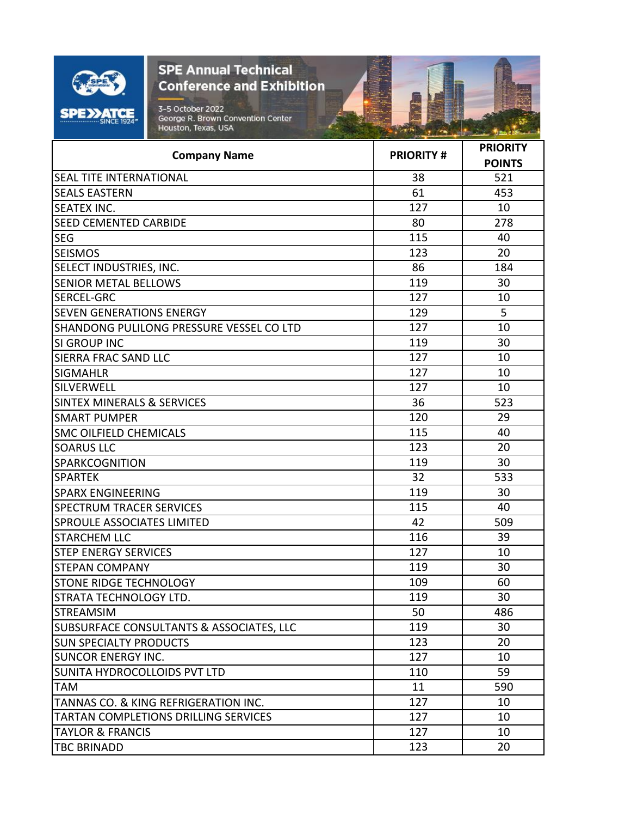| O<br>Ξ.<br>įж<br><b>SINCE 1924</b> |
|------------------------------------|

看

|                                                 | <b>PRIORITY#</b> | <b>PRIORITY</b> |
|-------------------------------------------------|------------------|-----------------|
| <b>Company Name</b>                             |                  | <b>POINTS</b>   |
| <b>SEAL TITE INTERNATIONAL</b>                  | 38               | 521             |
| <b>SEALS EASTERN</b>                            | 61               | 453             |
| <b>SEATEX INC.</b>                              | 127              | 10              |
| <b>SEED CEMENTED CARBIDE</b>                    | 80               | 278             |
| <b>SEG</b>                                      | 115              | 40              |
| <b>SEISMOS</b>                                  | 123              | 20              |
| SELECT INDUSTRIES, INC.                         | 86               | 184             |
| <b>SENIOR METAL BELLOWS</b>                     | 119              | 30              |
| <b>SERCEL-GRC</b>                               | 127              | 10              |
| <b>SEVEN GENERATIONS ENERGY</b>                 | 129              | 5               |
| SHANDONG PULILONG PRESSURE VESSEL CO LTD        | 127              | 10              |
| <b>SI GROUP INC</b>                             | 119              | 30              |
| <b>SIERRA FRAC SAND LLC</b>                     | 127              | 10              |
| <b>SIGMAHLR</b>                                 | 127              | 10              |
| SILVERWELL                                      | 127              | 10              |
| <b>SINTEX MINERALS &amp; SERVICES</b>           | 36               | 523             |
| <b>SMART PUMPER</b>                             | 120              | 29              |
| <b>SMC OILFIELD CHEMICALS</b>                   | 115              | 40              |
| <b>SOARUS LLC</b>                               | 123              | 20              |
| <b>SPARKCOGNITION</b>                           | 119              | 30              |
| <b>SPARTEK</b>                                  | 32               | 533             |
| <b>SPARX ENGINEERING</b>                        | 119              | 30              |
| <b>SPECTRUM TRACER SERVICES</b>                 | 115              | 40              |
| <b>SPROULE ASSOCIATES LIMITED</b>               | 42               | 509             |
| <b>STARCHEM LLC</b>                             | 116              | 39              |
| <b>STEP ENERGY SERVICES</b>                     | 127              | 10              |
| <b>STEPAN COMPANY</b>                           | 119              | 30              |
| <b>STONE RIDGE TECHNOLOGY</b>                   | 109              | 60              |
| STRATA TECHNOLOGY LTD.                          | 119              | 30              |
| <b>STREAMSIM</b>                                | 50               | 486             |
| SUBSURFACE CONSULTANTS & ASSOCIATES, LLC        | 119              | 30              |
| <b>SUN SPECIALTY PRODUCTS</b>                   | 123              | 20              |
| <b>SUNCOR ENERGY INC.</b>                       | 127              | 10              |
| SUNITA HYDROCOLLOIDS PVT LTD                    | 110              | 59              |
| <b>TAM</b>                                      | 11               | 590             |
| <b>TANNAS CO. &amp; KING REFRIGERATION INC.</b> | 127              | 10              |
| <b>TARTAN COMPLETIONS DRILLING SERVICES</b>     | 127              | 10              |
| <b>TAYLOR &amp; FRANCIS</b>                     | 127              | 10              |
| <b>TBC BRINADD</b>                              | 123              | 20              |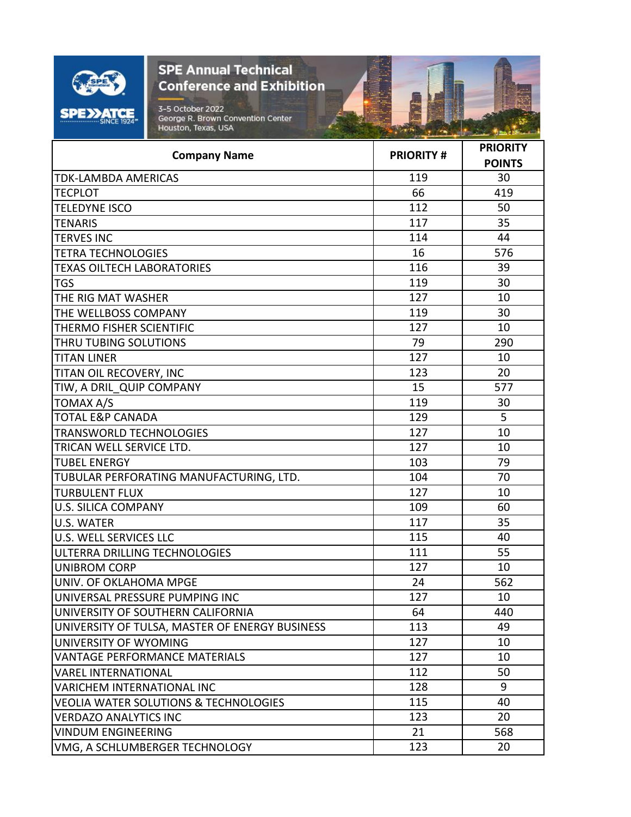| O<br>Ξ.<br>įж<br><b>SINCE 1924</b> |
|------------------------------------|

看

| <b>Company Name</b>                              | <b>PRIORITY#</b> | <b>PRIORITY</b> |
|--------------------------------------------------|------------------|-----------------|
|                                                  |                  | <b>POINTS</b>   |
| <b>TDK-LAMBDA AMERICAS</b>                       | 119              | 30              |
| <b>TECPLOT</b>                                   | 66               | 419             |
| <b>TELEDYNE ISCO</b>                             | 112              | 50              |
| <b>TENARIS</b>                                   | 117              | 35              |
| <b>TERVES INC</b>                                | 114              | 44              |
| <b>TETRA TECHNOLOGIES</b>                        | 16               | 576             |
| <b>TEXAS OILTECH LABORATORIES</b>                | 116              | 39              |
| <b>TGS</b>                                       | 119              | 30              |
| THE RIG MAT WASHER                               | 127              | 10              |
| THE WELLBOSS COMPANY                             | 119              | 30              |
| THERMO FISHER SCIENTIFIC                         | 127              | 10              |
| THRU TUBING SOLUTIONS                            | 79               | 290             |
| <b>TITAN LINER</b>                               | 127              | 10              |
| TITAN OIL RECOVERY, INC                          | 123              | 20              |
| TIW, A DRIL QUIP COMPANY                         | 15               | 577             |
| <b>TOMAX A/S</b>                                 | 119              | 30              |
| <b>TOTAL E&amp;P CANADA</b>                      | 129              | 5               |
| <b>TRANSWORLD TECHNOLOGIES</b>                   | 127              | 10              |
| TRICAN WELL SERVICE LTD.                         | 127              | 10              |
| <b>TUBEL ENERGY</b>                              | 103              | 79              |
| TUBULAR PERFORATING MANUFACTURING, LTD.          | 104              | 70              |
| <b>TURBULENT FLUX</b>                            | 127              | 10              |
| <b>U.S. SILICA COMPANY</b>                       | 109              | 60              |
| <b>U.S. WATER</b>                                | 117              | 35              |
| <b>U.S. WELL SERVICES LLC</b>                    | 115              | 40              |
| ULTERRA DRILLING TECHNOLOGIES                    | 111              | 55              |
| <b>UNIBROM CORP</b>                              | 127              | 10              |
| UNIV. OF OKLAHOMA MPGE                           | 24               | 562             |
| UNIVERSAL PRESSURE PUMPING INC                   | 127              | 10              |
| UNIVERSITY OF SOUTHERN CALIFORNIA                | 64               | 440             |
| UNIVERSITY OF TULSA, MASTER OF ENERGY BUSINESS   | 113              | 49              |
| UNIVERSITY OF WYOMING                            | 127              | 10              |
| <b>VANTAGE PERFORMANCE MATERIALS</b>             | 127              | 10              |
| <b>VAREL INTERNATIONAL</b>                       | 112              | 50              |
| <b>VARICHEM INTERNATIONAL INC</b>                | 128              | 9               |
| <b>VEOLIA WATER SOLUTIONS &amp; TECHNOLOGIES</b> | 115              | 40              |
| <b>VERDAZO ANALYTICS INC</b>                     | 123              | 20              |
| <b>VINDUM ENGINEERING</b>                        | 21               | 568             |
| VMG, A SCHLUMBERGER TECHNOLOGY                   | 123              | 20              |